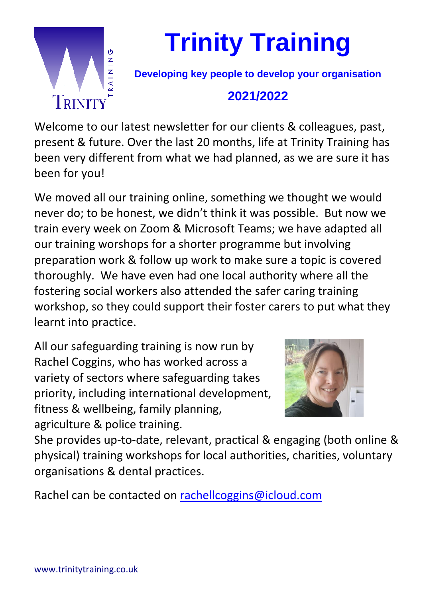

**Trinity Training**

**Developing key people to develop your organisation**

## **2021/2022**

Welcome to our latest newsletter for our clients & colleagues, past, present & future. Over the last 20 months, life at Trinity Training has been very different from what we had planned, as we are sure it has been for you!

We moved all our training online, something we thought we would never do; to be honest, we didn't think it was possible. But now we train every week on Zoom & Microsoft Teams; we have adapted all our training worshops for a shorter programme but involving preparation work & follow up work to make sure a topic is covered thoroughly. We have even had one local authority where all the fostering social workers also attended the safer caring training workshop, so they could support their foster carers to put what they learnt into practice.

All our safeguarding training is now run by Rachel Coggins, who has worked across a variety of sectors where safeguarding takes priority, including international development, fitness & wellbeing, family planning, agriculture & police training.



She provides up-to-date, relevant, practical & engaging (both online & physical) training workshops for local authorities, charities, voluntary organisations & dental practices.

Rachel can be contacted on [rachellcoggins@icloud.com](mailto:rachellcoggins@icloud.com)